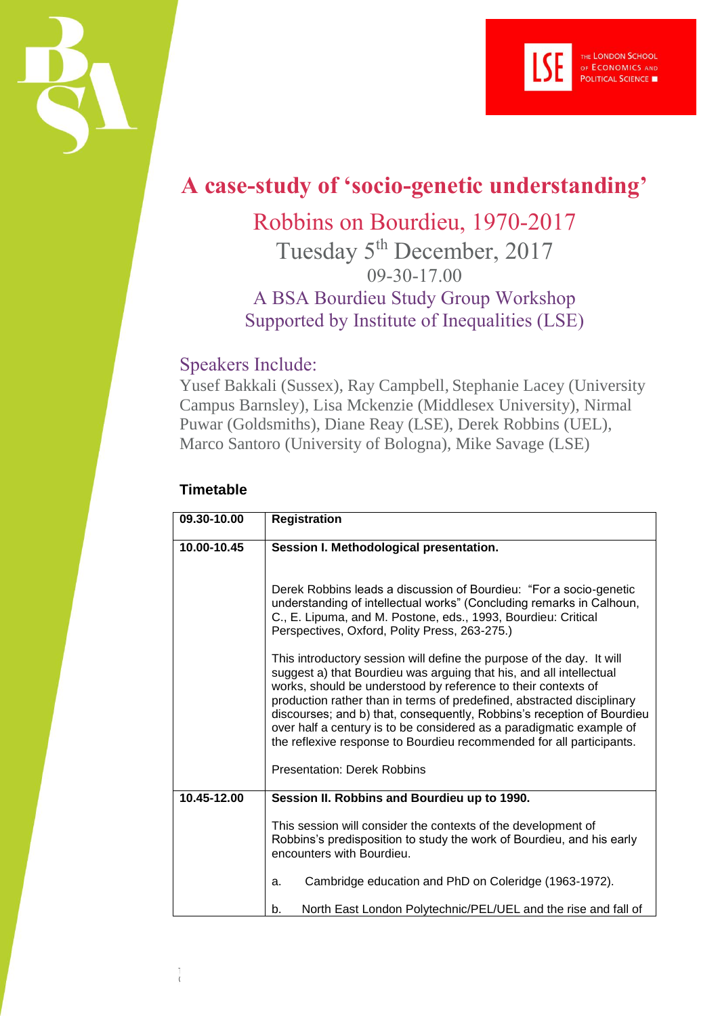



## **A case-study of 'socio-genetic understanding'**

## Robbins on Bourdieu, 1970-2017

Tuesday 5<sup>th</sup> December, 2017 09-30-17.00 A BSA Bourdieu Study Group Workshop Supported by Institute of Inequalities (LSE)

## Speakers Include:

Yusef Bakkali (Sussex), Ray Campbell, Stephanie Lacey (University Campus Barnsley), Lisa Mckenzie (Middlesex University), Nirmal Puwar (Goldsmiths), Diane Reay (LSE), Derek Robbins (UEL), Marco Santoro (University of Bologna), Mike Savage (LSE)

## **Timetable**

 $\frac{1}{6}$ 

| 09.30-10.00 | <b>Registration</b>                                                                                                                                                                                                                                                                                                                                                                                                                                                                                               |
|-------------|-------------------------------------------------------------------------------------------------------------------------------------------------------------------------------------------------------------------------------------------------------------------------------------------------------------------------------------------------------------------------------------------------------------------------------------------------------------------------------------------------------------------|
| 10.00-10.45 | Session I. Methodological presentation.                                                                                                                                                                                                                                                                                                                                                                                                                                                                           |
|             | Derek Robbins leads a discussion of Bourdieu: "For a socio-genetic<br>understanding of intellectual works" (Concluding remarks in Calhoun,<br>C., E. Lipuma, and M. Postone, eds., 1993, Bourdieu: Critical<br>Perspectives, Oxford, Polity Press, 263-275.)                                                                                                                                                                                                                                                      |
|             | This introductory session will define the purpose of the day. It will<br>suggest a) that Bourdieu was arguing that his, and all intellectual<br>works, should be understood by reference to their contexts of<br>production rather than in terms of predefined, abstracted disciplinary<br>discourses; and b) that, consequently, Robbins's reception of Bourdieu<br>over half a century is to be considered as a paradigmatic example of<br>the reflexive response to Bourdieu recommended for all participants. |
|             | <b>Presentation: Derek Robbins</b>                                                                                                                                                                                                                                                                                                                                                                                                                                                                                |
| 10.45-12.00 | Session II. Robbins and Bourdieu up to 1990.                                                                                                                                                                                                                                                                                                                                                                                                                                                                      |
|             | This session will consider the contexts of the development of<br>Robbins's predisposition to study the work of Bourdieu, and his early<br>encounters with Bourdieu.                                                                                                                                                                                                                                                                                                                                               |
|             | Cambridge education and PhD on Coleridge (1963-1972).<br>a.                                                                                                                                                                                                                                                                                                                                                                                                                                                       |
|             | North East London Polytechnic/PEL/UEL and the rise and fall of<br>b.                                                                                                                                                                                                                                                                                                                                                                                                                                              |